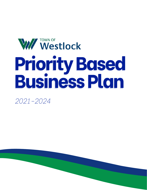# W//Westlock **Priority Based Business Plan**

*2021-2024*

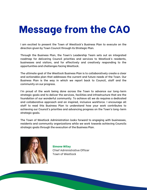# **Message from the CAO**

I am excited to present the Town of Westlock's Business Plan to execute on the direction given by Town Council through its Strategic Plan.

Through the Business Plan, the Town's Leadership Team sets out an integrated roadmap for delivering Council priorities and services to Westlock's residents, businesses and visitors, and for effectively and creatively responding to the opportunities and challenges facing Westlock.

The ultimate goal of the Westlock Business Plan is to collaboratively create a clear and actionable plan that addresses the current and future needs of the Town. Our Business Plan is the way in which we report back to Council, staff and the community on our progress.

I'm proud of the work being done across the Town to advance our long-term strategic goals and to deliver the services, facilities and infrastructure that are the foundation of our wonderful community. To achieve all we do requires a dedicated and collaborative approach and an inspired, inclusive workforce. I encourage all staff to read this Business Plan to understand how your work contributes to achieving our Council's priorities and advancing progress on the Town's long-term strategic goals.

The Town of Westlock Administration looks forward to engaging with businesses, residents and community organizations while we work towards achieving Councils strategic goals through the execution of the Business Plan.



**Simone Wiley** Chief Administrative Officer Town of Westlock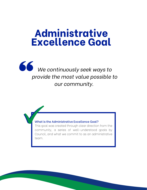## **Administrative Excellence Goal**



#### What is the Administrative Excellence Goal?

This goal was created through clear direction from the community, a series of well-understood goals by Council, and what we commit to as an administrative team.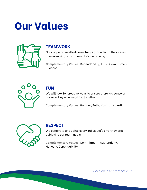# **Our Values**



### **TEAMWORK**

Our cooperative efforts are always grounded in the interest of maximizing our community's well-being.

**Complementary Values:** Dependability, Trust, Commitment, **Success** 



### **FUN**

We will look for creative ways to ensure there is a sense of pride and joy when working together.

**Complementary Values:** Humour, Enthusiasim, Inspiration



### **RESPECT**

We celebrate and value every individual's effort towards achieving our team goals.

**Complementary Values:** Commitment, Authenticity, Honesty, Dependability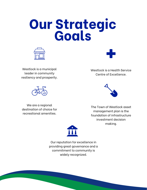# **Our Strategic Goals**





Westlock is a municipal leader in community resiliency and prosperity.

Westlock is a Health Service Centre of Excellence.



We are a regional destination of choice for recreational amenities.



The Town of Westlock asset management plan is the foundation of infrastructure investment decision making.



Our reputation for excellence in providing great governance and a commitment to community is widely recognized.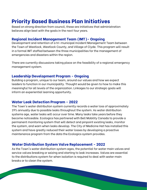### **Priority Based Business Plan Initiatives**

Based on strong direction from council, these are initiatives that administration believes align best with the goals in the next four years.

#### **Regional Incident Management Team (IMT)- Ongoing**

Development and retention of a tri-municipal Incident Management Team between the Town of Westlock, Westlock County, and Village of Clyde. This program will result in a formal IMT staffed between the three municipalities for the management of emergencies and disasters within the region.

There are currently discussions taking place on the feasibility of a regional emergency management system.

#### **Leadership Development Program - Ongoing**

Building a program, unique to our team, around our values and how we expect leaders to function in our municipality. Thought would be given to how to make this meaningful for all levels of the organization. Linkages to our strategic goals will inform an experiential learning opportunity.

#### **Water Leak Detection Program - 2022**

The Town's water distribution system currently records a water loss of approximately 19% annually due to possible leaks throughout the system. As water distribution systems age, water leaks will occur over time. Many leaks take years before they become noticeable. Ecologics has partnered with Bell Mobility Canada to provide a permanent monitoring system that will detect and pinpoint existing leaks, monitor the system, and warn when leaks develop. The City of Medicine Hat has installed this system and have greatly reduced their water losses by developing a proactive maintenance program from the data the Ecologics system provides.

#### **Water Distribution System Valve Replacement - 2022**

As the Town's water distribution system ages, the potential for water main valves and service valves breaking or seizing and starting to leak increases. Valves are essential to the distributions system for when isolation is required to deal with water main breaks or to clean the system.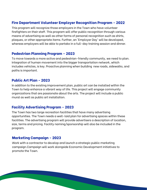#### **Fire Department Volunteer Employer Recognition Program - 2022**

This program will recognize those employers in the Town who have volunteer firefighters on their staff. This program will offer public recognition through various means of advertising as well as other forms of personal recognition such as shirts, plaques, or other appropriate items. Further, an 'Employer Day' will be developed, whereas employers will be able to partake in a full-day training session and dinner.

#### **Pedestrian Planning Program - 2023**

To move towards a more active and pedestrian-friendly community, we need to plan. Integration of human movement into the bigger transportation network, which includes vehicles, is key. Proactive planning when building new roads, sidewalks, and paths is important.

#### **Public Art Plan - 2023**

In addition to the existing improvement plan, public art can be installed within the Town to help enhance a vibrant way of life. This project will engage community organizations that are passionate about the arts. The project will include a public mural as well as public art installation.

#### **Facility Advertising Program - 2023**

The Town has two large recreation facilities that have many advertising opportunities. The Town needs a well-laid plan for advertising spaces within these facilities. The advertising program will provide advertisers a description of location, size, terms and pricing. Facility naming/sponsorship will also be included in the program.

#### **Marketing Campaign - 2023**

Work with a contractor to develop and launch a strategic public marketing campaign.Campaign will work alongside Economic Development initiatives to promote the Town.